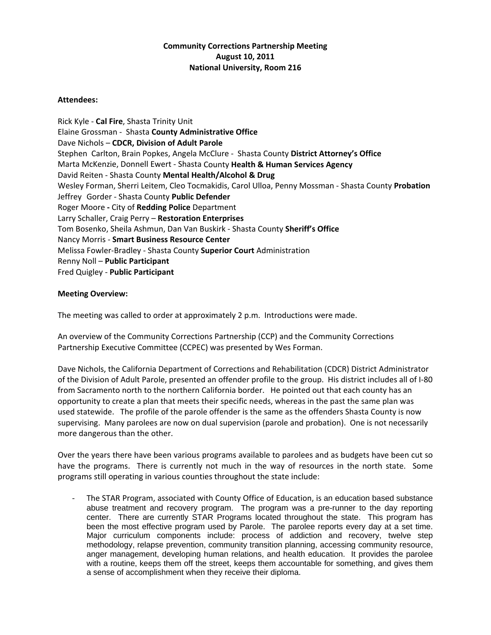## **Community Corrections Partnership Meeting August 10, 2011 National University, Room 216**

## **Attendees:**

Rick Kyle ‐ **Cal Fire**, Shasta Trinity Unit Elaine Grossman ‐ Shasta **County Administrative Office**  Dave Nichols – **CDCR, Division of Adult Parole** Stephen Carlton, Brain Popkes, Angela McClure ‐ Shasta County **District Attorney's Office** Marta McKenzie, Donnell Ewert ‐ Shasta County **Health & Human Services Agency** David Reiten ‐ Shasta County **Mental Health/Alcohol & Drug**  Wesley Forman, Sherri Leitem, Cleo Tocmakidis, Carol Ulloa, Penny Mossman ‐ Shasta County **Probation** Jeffrey Gorder ‐ Shasta County **Public Defender** Roger Moore **‐** City of **Redding Police** Department Larry Schaller, Craig Perry – **Restoration Enterprises** Tom Bosenko, Sheila Ashmun, Dan Van Buskirk ‐ Shasta County **Sheriff's Office** Nancy Morris ‐ **Smart Business Resource Center** Melissa Fowler‐Bradley ‐ Shasta County **Superior Court** Administration Renny Noll – **Public Participant** Fred Quigley ‐ **Public Participant**

## **Meeting Overview:**

The meeting was called to order at approximately 2 p.m. Introductions were made.

An overview of the Community Corrections Partnership (CCP) and the Community Corrections Partnership Executive Committee (CCPEC) was presented by Wes Forman.

Dave Nichols, the California Department of Corrections and Rehabilitation (CDCR) District Administrator of the Division of Adult Parole, presented an offender profile to the group. His district includes all of I‐80 from Sacramento north to the northern California border. He pointed out that each county has an opportunity to create a plan that meets their specific needs, whereas in the past the same plan was used statewide. The profile of the parole offender is the same as the offenders Shasta County is now supervising. Many parolees are now on dual supervision (parole and probation). One is not necessarily more dangerous than the other.

Over the years there have been various programs available to parolees and as budgets have been cut so have the programs. There is currently not much in the way of resources in the north state. Some programs still operating in various counties throughout the state include:

‐ The STAR Program, associated with County Office of Education, is an education based substance abuse treatment and recovery program. The program was a pre-runner to the day reporting center. There are currently STAR Programs located throughout the state. This program has been the most effective program used by Parole. The parolee reports every day at a set time. Major curriculum components include: process of addiction and recovery, twelve step methodology, relapse prevention, community transition planning, accessing community resource, anger management, developing human relations, and health education. It provides the parolee with a routine, keeps them off the street, keeps them accountable for something, and gives them a sense of accomplishment when they receive their diploma.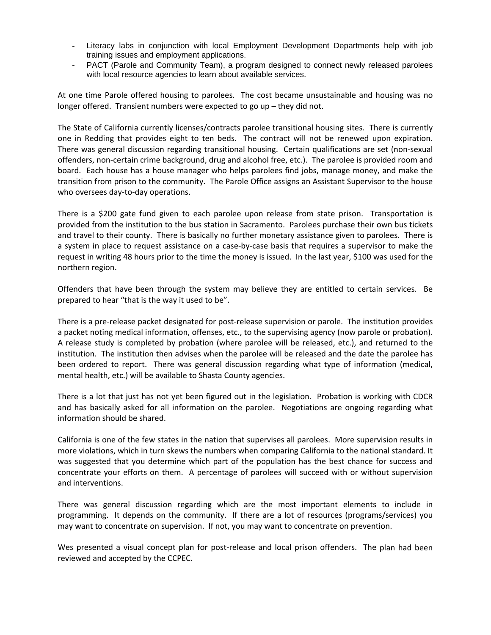- ‐ Literacy labs in conjunction with local Employment Development Departments help with job training issues and employment applications.
- PACT (Parole and Community Team), a program designed to connect newly released parolees with local resource agencies to learn about available services.

At one time Parole offered housing to parolees. The cost became unsustainable and housing was no longer offered. Transient numbers were expected to go up – they did not.

The State of California currently licenses/contracts parolee transitional housing sites. There is currently one in Redding that provides eight to ten beds. The contract will not be renewed upon expiration. There was general discussion regarding transitional housing. Certain qualifications are set (non‐sexual offenders, non‐certain crime background, drug and alcohol free, etc.). The parolee is provided room and board. Each house has a house manager who helps parolees find jobs, manage money, and make the transition from prison to the community. The Parole Office assigns an Assistant Supervisor to the house who oversees day-to-day operations.

There is a \$200 gate fund given to each parolee upon release from state prison. Transportation is provided from the institution to the bus station in Sacramento. Parolees purchase their own bus tickets and travel to their county. There is basically no further monetary assistance given to parolees. There is a system in place to request assistance on a case-by-case basis that requires a supervisor to make the request in writing 48 hours prior to the time the money is issued. In the last year, \$100 was used for the northern region.

Offenders that have been through the system may believe they are entitled to certain services. Be prepared to hear "that is the way it used to be".

There is a pre-release packet designated for post-release supervision or parole. The institution provides a packet noting medical information, offenses, etc., to the supervising agency (now parole or probation). A release study is completed by probation (where parolee will be released, etc.), and returned to the institution. The institution then advises when the parolee will be released and the date the parolee has been ordered to report. There was general discussion regarding what type of information (medical, mental health, etc.) will be available to Shasta County agencies.

There is a lot that just has not yet been figured out in the legislation. Probation is working with CDCR and has basically asked for all information on the parolee. Negotiations are ongoing regarding what information should be shared.

California is one of the few states in the nation that supervises all parolees. More supervision results in more violations, which in turn skews the numbers when comparing California to the national standard. It was suggested that you determine which part of the population has the best chance for success and concentrate your efforts on them. A percentage of parolees will succeed with or without supervision and interventions.

There was general discussion regarding which are the most important elements to include in programming. It depends on the community. If there are a lot of resources (programs/services) you may want to concentrate on supervision. If not, you may want to concentrate on prevention.

Wes presented a visual concept plan for post-release and local prison offenders. The plan had been reviewed and accepted by the CCPEC.